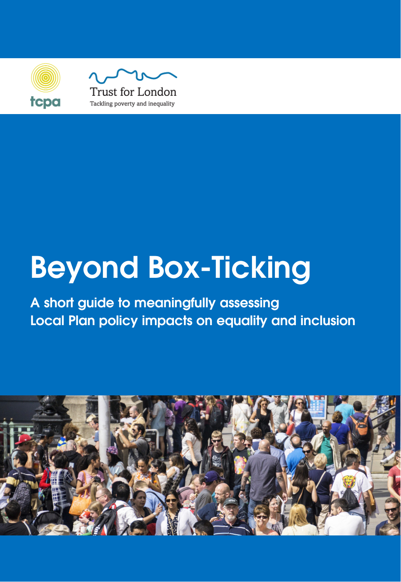



# **Beyond Box-Ticking**

**A short guide to meaningfully assessing Local Plan policy impacts on equality and inclusion**

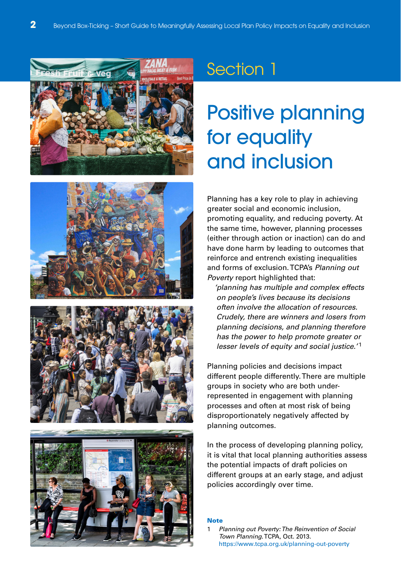







## Positive planning for equality and inclusion

Planning has a key role to play in achieving greater social and economic inclusion, promoting equality, and reducing poverty. At the same time, however, planning processes (either through action or inaction) can do and have done harm by leading to outcomes that reinforce and entrench existing inequalities and forms of exclusion. TCPA's Planning out Poverty report highlighted that:

'planning has multiple and complex effects on people's lives because its decisions often involve the allocation of resources. Crudely, there are winners and losers from planning decisions, and planning therefore has the power to help promote greater or lesser levels of equity and social justice.<sup>'1</sup>

Planning policies and decisions impact different people differently. There are multiple groups in society who are both underrepresented in engagement with planning processes and often at most risk of being disproportionately negatively affected by planning outcomes.

In the process of developing planning policy, it is vital that local planning authorities assess the potential impacts of draft policies on different groups at an early stage, and adjust policies accordingly over time.

#### **Note**

Planning out Poverty: The Reinvention of Social Town Planning. TCPA, Oct. 2013. https://www.tcpa.org.uk/planning-out-poverty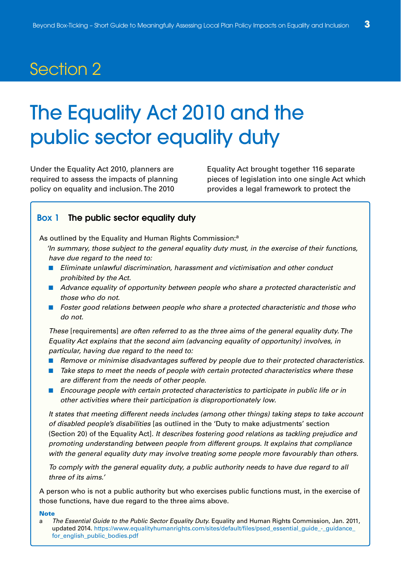## The Equality Act 2010 and the public sector equality duty

Under the Equality Act 2010, planners are required to assess the impacts of planning policy on equality and inclusion. The 2010

Equality Act brought together 116 separate pieces of legislation into one single Act which provides a legal framework to protect the

#### **Box 1 The public sector equality duty**

As outlined by the Equality and Human Rights Commission:<sup>a</sup>

- 'In summary, those subject to the general equality duty must, in the exercise of their functions, have due regard to the need to:
- Eliminate unlawful discrimination, harassment and victimisation and other conduct prohibited by the Act.
- Advance equality of opportunity between people who share a protected characteristic and those who do not.
- Foster good relations between people who share a protected characteristic and those who do not.

These [requirements] are often referred to as the three aims of the general equality duty. The Equality Act explains that the second aim (advancing equality of opportunity) involves, in particular, having due regard to the need to:

- Remove or minimise disadvantages suffered by people due to their protected characteristics.
- Take steps to meet the needs of people with certain protected characteristics where these are different from the needs of other people.
- Encourage people with certain protected characteristics to participate in public life or in other activities where their participation is disproportionately low.

It states that meeting different needs includes (among other things) taking steps to take account of disabled people's disabilities [as outlined in the 'Duty to make adjustments' section (Section 20) of the Equality Act]. It describes fostering good relations as tackling prejudice and promoting understanding between people from different groups. It explains that compliance with the general equality duty may involve treating some people more favourably than others.

To comply with the general equality duty, a public authority needs to have due regard to all three of its aims.'

A person who is not a public authority but who exercises public functions must, in the exercise of those functions, have due regard to the three aims above.

**Note**

a The Essential Guide to the Public Sector Equality Duty. Equality and Human Rights Commission, Jan. 2011, updated 2014. https://www.equalityhumanrights.com/sites/default/files/psed\_essential\_guide\_-\_guidance\_ for english public bodies.pdf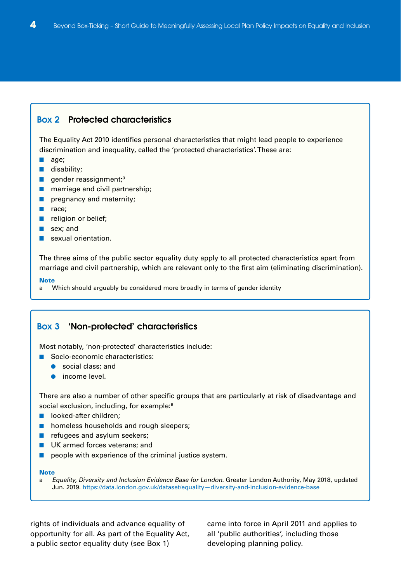#### **Box 2 Protected characteristics**

The Equality Act 2010 identifies personal characteristics that might lead people to experience discrimination and inequality, called the 'protected characteristics'. These are:

- age;
- disability;
- gender reassignment;<sup>a</sup>
- marriage and civil partnership;
- pregnancy and maternity;
- race;
- religion or belief;
- sex; and
- sexual orientation.

The three aims of the public sector equality duty apply to all protected characteristics apart from marriage and civil partnership, which are relevant only to the first aim (eliminating discrimination).

#### **Note**

a Which should arguably be considered more broadly in terms of gender identity

#### **Box 3 'Non-protected' characteristics**

Most notably, 'non-protected' characteristics include:

- Socio-economic characteristics:
	- social class; and
	- income level.

There are also a number of other specific groups that are particularly at risk of disadvantage and social exclusion, including, for example:<sup>a</sup>

- looked-after children:
- homeless households and rough sleepers;
- refugees and asylum seekers;
- UK armed forces veterans; and
- people with experience of the criminal justice system.

#### **Note**

a Equality, Diversity and Inclusion Evidence Base for London. Greater London Authority, May 2018, updated Jun. 2019. https://data.london.gov.uk/dataset/equality—diversity-and-inclusion-evidence-base

rights of individuals and advance equality of opportunity for all. As part of the Equality Act, a public sector equality duty (see Box 1)

came into force in April 2011 and applies to all 'public authorities', including those developing planning policy.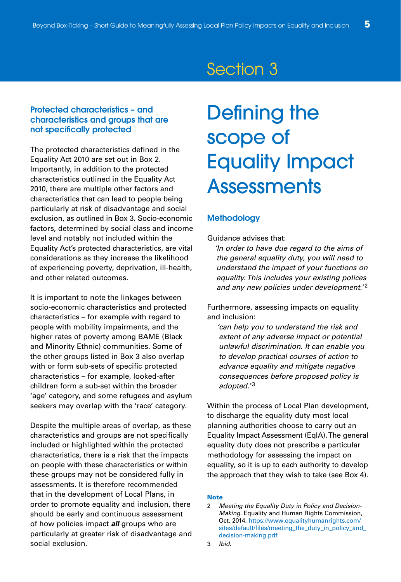#### **Protected characteristics – and characteristics and groups that are not specifically protected**

The protected characteristics defined in the Equality Act 2010 are set out in Box 2. Importantly, in addition to the protected characteristics outlined in the Equality Act 2010, there are multiple other factors and characteristics that can lead to people being particularly at risk of disadvantage and social exclusion, as outlined in Box 3. Socio-economic factors, determined by social class and income level and notably not included within the Equality Act's protected characteristics, are vital considerations as they increase the likelihood of experiencing poverty, deprivation, ill-health, and other related outcomes.

It is important to note the linkages between socio-economic characteristics and protected characteristics – for example with regard to people with mobility impairments, and the higher rates of poverty among BAME (Black and Minority Ethnic) communities. Some of the other groups listed in Box 3 also overlap with or form sub-sets of specific protected characteristics – for example, looked-after children form a sub-set within the broader 'age' category, and some refugees and asylum seekers may overlap with the 'race' category.

Despite the multiple areas of overlap, as these characteristics and groups are not specifically included or highlighted within the protected characteristics, there is a risk that the impacts on people with these characteristics or within these groups may not be considered fully in assessments. It is therefore recommended that in the development of Local Plans, in order to promote equality and inclusion, there should be early and continuous assessment of how policies impact **all** groups who are particularly at greater risk of disadvantage and social exclusion.

## Defining the scope of Equality Impact **Assessments**

#### **Methodology**

Guidance advises that:

'In order to have due regard to the aims of the general equality duty, you will need to understand the impact of your functions on equality. This includes your existing polices and any new policies under development.'<sup>2</sup>

Furthermore, assessing impacts on equality and inclusion:

'can help you to understand the risk and extent of any adverse impact or potential unlawful discrimination. It can enable you to develop practical courses of action to advance equality and mitigate negative consequences before proposed policy is adopted.'<sup>3</sup>

Within the process of Local Plan development, to discharge the equality duty most local planning authorities choose to carry out an Equality Impact Assessment (EqIA). The general equality duty does not prescribe a particular methodology for assessing the impact on equality, so it is up to each authority to develop the approach that they wish to take (see Box 4).

#### **Note**

<sup>2</sup> Meeting the Equality Duty in Policy and Decision-Making. Equality and Human Rights Commission, Oct. 2014. https://www.equalityhumanrights.com/ sites/default/files/meeting\_the\_duty\_in\_policy\_and\_ decision-making.pdf

<sup>3</sup> Ibid.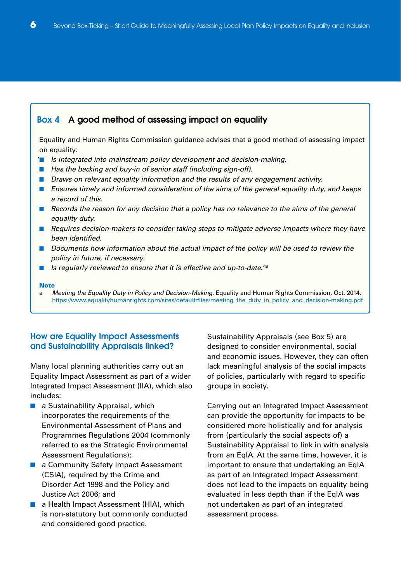#### **Box 4 A good method of assessing impact on equality**

Equality and Human Rights Commission guidance advises that a good method of assessing impact on equality:

- '■ Is integrated into mainstream policy development and decision-making.
- Has the backing and buy-in of senior staff (including sign-off).
- Draws on relevant equality information and the results of any engagement activity.
- Ensures timely and informed consideration of the aims of the general equality duty, and keeps a record of this.
- Records the reason for any decision that a policy has no relevance to the aims of the general equality duty.
- Requires decision-makers to consider taking steps to mitigate adverse impacts where they have been identified.
- Documents how information about the actual impact of the policy will be used to review the policy in future, if necessary.
- Is regularly reviewed to ensure that it is effective and up-to-date.<sup>'a</sup>

#### **Note**

a Meeting the Equality Duty in Policy and Decision-Making. Equality and Human Rights Commission, Oct. 2014. https://www.equalityhumanrights.com/sites/default/files/meeting\_the\_duty\_in\_policy\_and\_decision-making.pdf

#### **How are Equality Impact Assessments and Sustainability Appraisals linked?**

Many local planning authorities carry out an Equality Impact Assessment as part of a wider Integrated Impact Assessment (IIA), which also includes:

- a Sustainability Appraisal, which incorporates the requirements of the Environmental Assessment of Plans and Programmes Regulations 2004 (commonly referred to as the Strategic Environmental Assessment Regulations);
- a Community Safety Impact Assessment (CSIA), required by the Crime and Disorder Act 1998 and the Policy and Justice Act 2006; and
- a Health Impact Assessment (HIA), which is non-statutory but commonly conducted and considered good practice.

Sustainability Appraisals (see Box 5) are designed to consider environmental, social and economic issues. However, they can often lack meaningful analysis of the social impacts of policies, particularly with regard to specific groups in society.

Carrying out an Integrated Impact Assessment can provide the opportunity for impacts to be considered more holistically and for analysis from (particularly the social aspects of) a Sustainability Appraisal to link in with analysis from an EqIA. At the same time, however, it is important to ensure that undertaking an EqIA as part of an Integrated Impact Assessment does not lead to the impacts on equality being evaluated in less depth than if the EqIA was not undertaken as part of an integrated assessment process.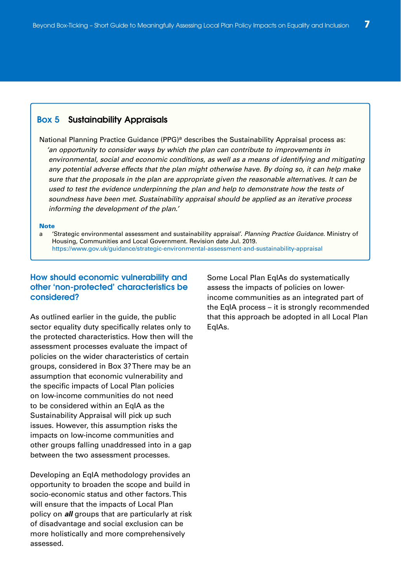#### **Box 5 Sustainability Appraisals**

National Planning Practice Guidance  $(PPG)^a$  describes the Sustainability Appraisal process as: 'an opportunity to consider ways by which the plan can contribute to improvements in environmental, social and economic conditions, as well as a means of identifying and mitigating any potential adverse effects that the plan might otherwise have. By doing so, it can help make sure that the proposals in the plan are appropriate given the reasonable alternatives. It can be used to test the evidence underpinning the plan and help to demonstrate how the tests of soundness have been met. Sustainability appraisal should be applied as an iterative process informing the development of the plan.'

#### **Note**

a 'Strategic environmental assessment and sustainability appraisal'. Planning Practice Guidance. Ministry of Housing, Communities and Local Government. Revision date Jul. 2019. https://www.gov.uk/guidance/strategic-environmental-assessment-and-sustainability-appraisal

#### **How should economic vulnerability and other 'non-protected' characteristics be considered?**

As outlined earlier in the guide, the public sector equality duty specifically relates only to the protected characteristics. How then will the assessment processes evaluate the impact of policies on the wider characteristics of certain groups, considered in Box 3? There may be an assumption that economic vulnerability and the specific impacts of Local Plan policies on low-income communities do not need to be considered within an EqIA as the Sustainability Appraisal will pick up such issues. However, this assumption risks the impacts on low-income communities and other groups falling unaddressed into in a gap between the two assessment processes.

Developing an EqIA methodology provides an opportunity to broaden the scope and build in socio-economic status and other factors. This will ensure that the impacts of Local Plan policy on **all** groups that are particularly at risk of disadvantage and social exclusion can be more holistically and more comprehensively assessed.

Some Local Plan EqIAs do systematically assess the impacts of policies on lowerincome communities as an integrated part of the EqIA process – it is strongly recommended that this approach be adopted in all Local Plan EqIAs.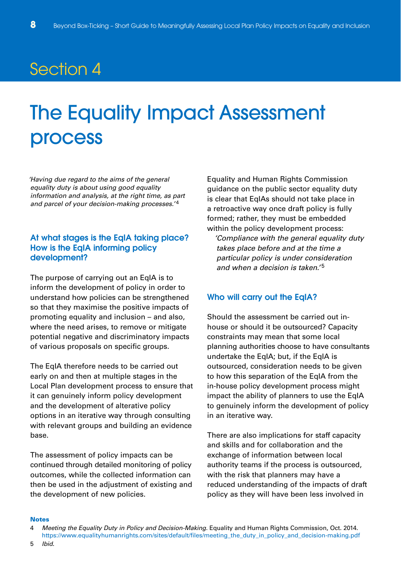## The Equality Impact Assessment process

'Having due regard to the aims of the general equality duty is about using good equality information and analysis, at the right time, as part and parcel of your decision-making processes.'<sup>4</sup>

#### **At what stages is the EqIA taking place? How is the EqIA informing policy development?**

The purpose of carrying out an EqIA is to inform the development of policy in order to understand how policies can be strengthened so that they maximise the positive impacts of promoting equality and inclusion – and also, where the need arises, to remove or mitigate potential negative and discriminatory impacts of various proposals on specific groups.

The EqIA therefore needs to be carried out early on and then at multiple stages in the Local Plan development process to ensure that it can genuinely inform policy development and the development of alterative policy options in an iterative way through consulting with relevant groups and building an evidence base.

The assessment of policy impacts can be continued through detailed monitoring of policy outcomes, while the collected information can then be used in the adjustment of existing and the development of new policies.

Equality and Human Rights Commission guidance on the public sector equality duty is clear that EqIAs should not take place in a retroactive way once draft policy is fully formed; rather, they must be embedded within the policy development process:

'Compliance with the general equality duty takes place before and at the time a particular policy is under consideration and when a decision is taken.'5

#### **Who will carry out the EqIA?**

Should the assessment be carried out inhouse or should it be outsourced? Capacity constraints may mean that some local planning authorities choose to have consultants undertake the EqIA; but, if the EqIA is outsourced, consideration needs to be given to how this separation of the EqIA from the in-house policy development process might impact the ability of planners to use the EqIA to genuinely inform the development of policy in an iterative way.

There are also implications for staff capacity and skills and for collaboration and the exchange of information between local authority teams if the process is outsourced, with the risk that planners may have a reduced understanding of the impacts of draft policy as they will have been less involved in

#### **Notes**

<sup>4</sup> Meeting the Equality Duty in Policy and Decision-Making. Equality and Human Rights Commission, Oct. 2014. https://www.equalityhumanrights.com/sites/default/files/meeting\_the\_duty\_in\_policy\_and\_decision-making.pdf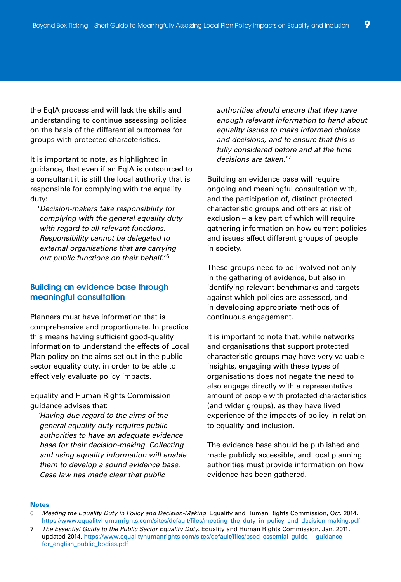the EqIA process and will lack the skills and understanding to continue assessing policies on the basis of the differential outcomes for groups with protected characteristics.

It is important to note, as highlighted in guidance, that even if an EqIA is outsourced to a consultant it is still the local authority that is responsible for complying with the equality duty:

'Decision-makers take responsibility for complying with the general equality duty with regard to all relevant functions. Responsibility cannot be delegated to external organisations that are carrying out public functions on their behalf.<sup>'6</sup>

#### **Building an evidence base through meaningful consultation**

Planners must have information that is comprehensive and proportionate. In practice this means having sufficient good-quality information to understand the effects of Local Plan policy on the aims set out in the public sector equality duty, in order to be able to effectively evaluate policy impacts.

Equality and Human Rights Commission guidance advises that:

'Having due regard to the aims of the general equality duty requires public authorities to have an adequate evidence base for their decision-making. Collecting and using equality information will enable them to develop a sound evidence base. Case law has made clear that public

authorities should ensure that they have enough relevant information to hand about equality issues to make informed choices and decisions, and to ensure that this is fully considered before and at the time decisions are taken.'7

Building an evidence base will require ongoing and meaningful consultation with, and the participation of, distinct protected characteristic groups and others at risk of exclusion – a key part of which will require gathering information on how current policies and issues affect different groups of people in society.

These groups need to be involved not only in the gathering of evidence, but also in identifying relevant benchmarks and targets against which policies are assessed, and in developing appropriate methods of continuous engagement.

It is important to note that, while networks and organisations that support protected characteristic groups may have very valuable insights, engaging with these types of organisations does not negate the need to also engage directly with a representative amount of people with protected characteristics (and wider groups), as they have lived experience of the impacts of policy in relation to equality and inclusion.

The evidence base should be published and made publicly accessible, and local planning authorities must provide information on how evidence has been gathered.

#### **Notes**

- 6 Meeting the Equality Duty in Policy and Decision-Making. Equality and Human Rights Commission, Oct. 2014. https://www.equalityhumanrights.com/sites/default/files/meeting\_the\_duty\_in\_policy\_and\_decision-making.pdf
- 7 The Essential Guide to the Public Sector Equality Duty. Equality and Human Rights Commission, Jan. 2011, updated 2014. https://www.equalityhumanrights.com/sites/default/files/psed\_essential\_guide\_-\_guidance\_ for\_english\_public\_bodies.pdf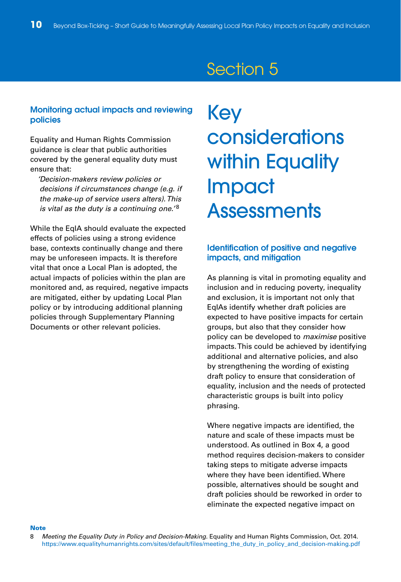#### **Monitoring actual impacts and reviewing policies**

Equality and Human Rights Commission guidance is clear that public authorities covered by the general equality duty must ensure that:

'Decision-makers review policies or decisions if circumstances change (e.g. if the make-up of service users alters). This is vital as the duty is a continuing one.<sup>'8</sup>

While the EqIA should evaluate the expected effects of policies using a strong evidence base, contexts continually change and there may be unforeseen impacts. It is therefore vital that once a Local Plan is adopted, the actual impacts of policies within the plan are monitored and, as required, negative impacts are mitigated, either by updating Local Plan policy or by introducing additional planning policies through Supplementary Planning Documents or other relevant policies.

## Key considerations within Equality Impact **Assessments**

#### **Identification of positive and negative impacts, and mitigation**

As planning is vital in promoting equality and inclusion and in reducing poverty, inequality and exclusion, it is important not only that EqIAs identify whether draft policies are expected to have positive impacts for certain groups, but also that they consider how policy can be developed to maximise positive impacts. This could be achieved by identifying additional and alternative policies, and also by strengthening the wording of existing draft policy to ensure that consideration of equality, inclusion and the needs of protected characteristic groups is built into policy phrasing.

Where negative impacts are identified, the nature and scale of these impacts must be understood. As outlined in Box 4, a good method requires decision-makers to consider taking steps to mitigate adverse impacts where they have been identified. Where possible, alternatives should be sought and draft policies should be reworked in order to eliminate the expected negative impact on

**Note**

<sup>8</sup> Meeting the Equality Duty in Policy and Decision-Making. Equality and Human Rights Commission, Oct. 2014. https://www.equalityhumanrights.com/sites/default/files/meeting\_the\_duty\_in\_policy\_and\_decision-making.pdf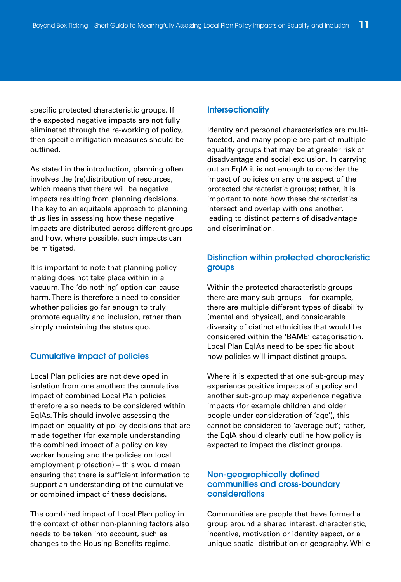specific protected characteristic groups. If the expected negative impacts are not fully eliminated through the re-working of policy, then specific mitigation measures should be outlined.

As stated in the introduction, planning often involves the (re)distribution of resources, which means that there will be negative impacts resulting from planning decisions. The key to an equitable approach to planning thus lies in assessing how these negative impacts are distributed across different groups and how, where possible, such impacts can be mitigated.

It is important to note that planning policymaking does not take place within in a vacuum. The 'do nothing' option can cause harm. There is therefore a need to consider whether policies go far enough to truly promote equality and inclusion, rather than simply maintaining the status quo.

#### **Cumulative impact of policies**

Local Plan policies are not developed in isolation from one another: the cumulative impact of combined Local Plan policies therefore also needs to be considered within EqIAs. This should involve assessing the impact on equality of policy decisions that are made together (for example understanding the combined impact of a policy on key worker housing and the policies on local employment protection) – this would mean ensuring that there is sufficient information to support an understanding of the cumulative or combined impact of these decisions.

The combined impact of Local Plan policy in the context of other non-planning factors also needs to be taken into account, such as changes to the Housing Benefits regime.

#### **Intersectionality**

Identity and personal characteristics are multifaceted, and many people are part of multiple equality groups that may be at greater risk of disadvantage and social exclusion. In carrying out an EqIA it is not enough to consider the impact of policies on any one aspect of the protected characteristic groups; rather, it is important to note how these characteristics intersect and overlap with one another, leading to distinct patterns of disadvantage and discrimination.

#### **Distinction within protected characteristic groups**

Within the protected characteristic groups there are many sub-groups – for example, there are multiple different types of disability (mental and physical), and considerable diversity of distinct ethnicities that would be considered within the 'BAME' categorisation. Local Plan EqIAs need to be specific about how policies will impact distinct groups.

Where it is expected that one sub-group may experience positive impacts of a policy and another sub-group may experience negative impacts (for example children and older people under consideration of 'age'), this cannot be considered to 'average-out'; rather, the EqIA should clearly outline how policy is expected to impact the distinct groups.

#### **Non-geographically defined communities and cross-boundary considerations**

Communities are people that have formed a group around a shared interest, characteristic, incentive, motivation or identity aspect, or a unique spatial distribution or geography. While